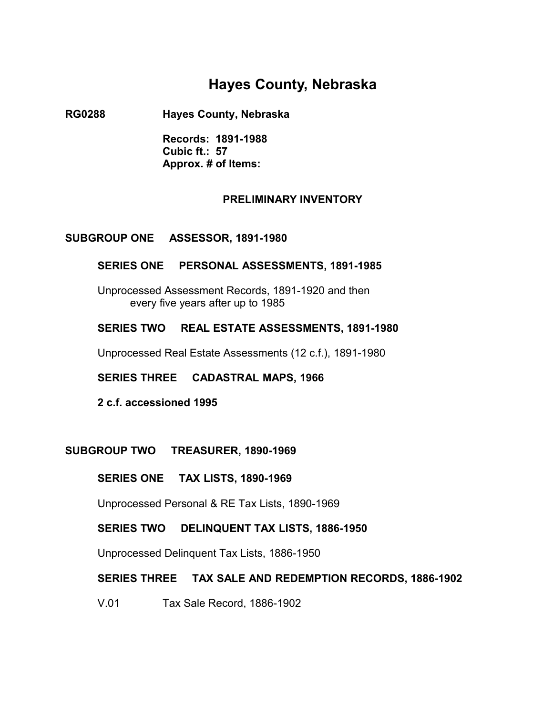# **Hayes County, Nebraska**

**RG0288 Hayes County, Nebraska** 

**Records: 1891-1988 Cubic ft.: 57 Approx. # of Items:** 

## **PRELIMINARY INVENTORY**

## **SUBGROUP ONE ASSESSOR, 1891-1980**

## **SERIES ONE PERSONAL ASSESSMENTS, 1891-1985**

Unprocessed Assessment Records, 1891-1920 and then � every five years after up to 1985

## **SERIES TWO REAL ESTATE ASSESSMENTS, 1891-1980**

Unprocessed Real Estate Assessments (12 c.f.), 1891-1980

**SERIES THREE CADASTRAL MAPS, 1966** �

**2 c.f. accessioned 1995**

#### **SUBGROUP TWO TREASURER, 1890-1969**

#### **SERIES ONE TAX LISTS, 1890-1969**

Unprocessed Personal & RE Tax Lists, 1890-1969

#### **SERIES TWO DELINQUENT TAX LISTS, 1886-1950**

Unprocessed Delinquent Tax Lists, 1886-1950

## **SERIES THREE TAX SALE AND REDEMPTION RECORDS, 1886-1902**

V.01 Tax Sale Record, 1886-1902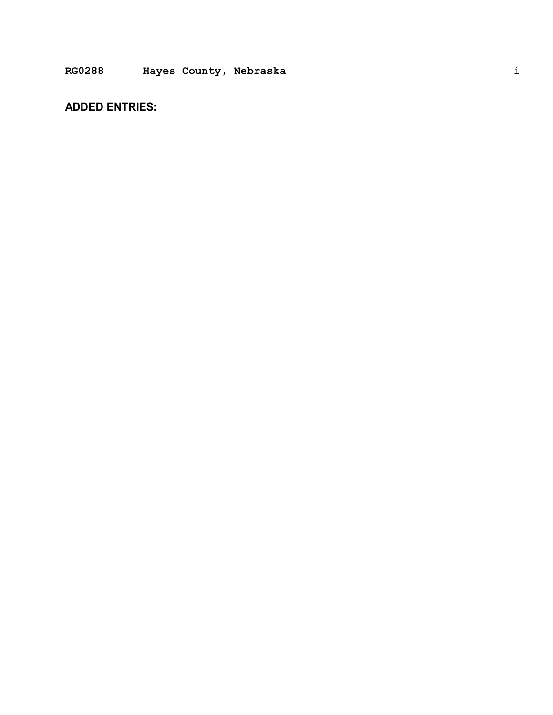## **ADDED ENTRIES:**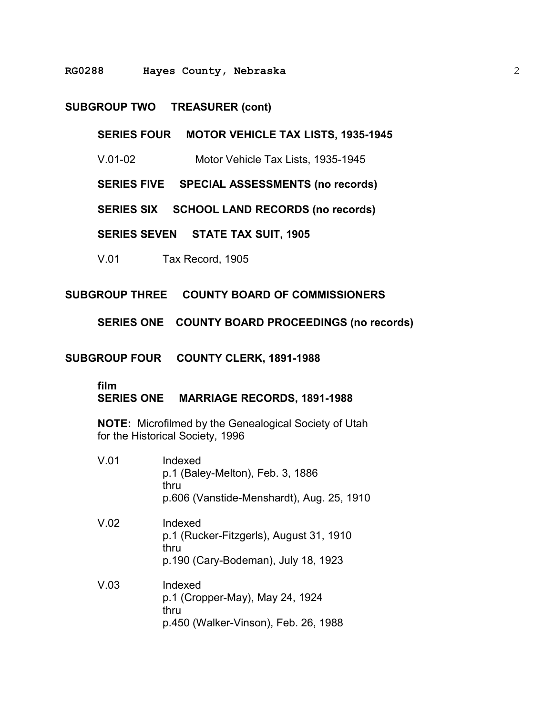#### **RG0288 Hayes County, Nebraska**

#### **SUBGROUP TWO TREASURER (cont)**

**SERIES FOUR MOTOR VEHICLE TAX LISTS, 1935-1945** 

V.01-02 Motor Vehicle Tax Lists, 1935-1945

**SERIES FIVE SPECIAL ASSESSMENTS (no records)** 

**SERIES SIX SCHOOL LAND RECORDS (no records)** 

**SERIES SEVEN STATE TAX SUIT, 1905** 

V.01 Tax Record, 1905

**SUBGROUP THREE COUNTY BOARD OF COMMISSIONERS** 

**SERIES ONE COUNTY BOARD PROCEEDINGS (no records)** 

**SUBGROUP FOUR COUNTY CLERK, 1891-1988** 

#### **film**

**SERIES ONE MARRIAGE RECORDS, 1891-1988** 

**NOTE:** Microfilmed by the Genealogical Society of Utah for the Historical Society, 1996

V.01 Indexed p.1 (Baley-Melton), Feb. 3, 1886 thru p.606 (Vanstide-Menshardt), Aug. 25, 1910 V.02 Indexed p.1 (Rucker-Fitzgerls), August 31, 1910 thru p.190 (Cary-Bodeman), July 18, 1923 V.03 Indexed p.1 (Cropper-May), May 24, 1924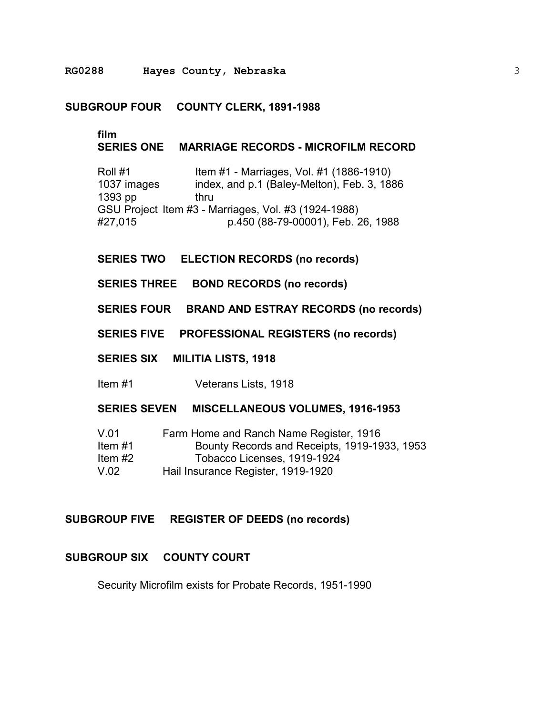**RG0288 Hayes County, Nebraska** 

#### **SUBGROUP FOUR COUNTY CLERK, 1891-1988**

## **film**

## **SERIES ONE MARRIAGE RECORDS - MICROFILM RECORD**

Roll #1 **Item #1 - Marriages, Vol. #1 (1886-1910)** 1037 images index, and p.1 (Baley-Melton), Feb. 3, 1886 1393 pp thru GSU Project Item #3 - Marriages, Vol. #3 (1924-1988) #27,015 p.450 (88-79-00001), Feb. 26, 1988

#### **SERIES TWO ELECTION RECORDS (no records)**

**SERIES THREE BOND RECORDS (no records)**

**SERIES FOUR BRAND AND ESTRAY RECORDS (no records)**

**SERIES FIVE PROFESSIONAL REGISTERS (no records)**

#### **SERIES SIX MILITIA LISTS, 1918**

Item #1 Veterans Lists, 1918

#### **SERIES SEVEN MISCELLANEOUS VOLUMES, 1916-1953**

| V.01      | Farm Home and Ranch Name Register, 1916      |
|-----------|----------------------------------------------|
| Item $#1$ | Bounty Records and Receipts, 1919-1933, 1953 |
| Item $#2$ | Tobacco Licenses, 1919-1924                  |
| V.02      | Hail Insurance Register, 1919-1920           |

## **SUBGROUP FIVE REGISTER OF DEEDS (no records)**

## **SUBGROUP SIX COUNTY COURT**

Security Microfilm exists for Probate Records, 1951-1990